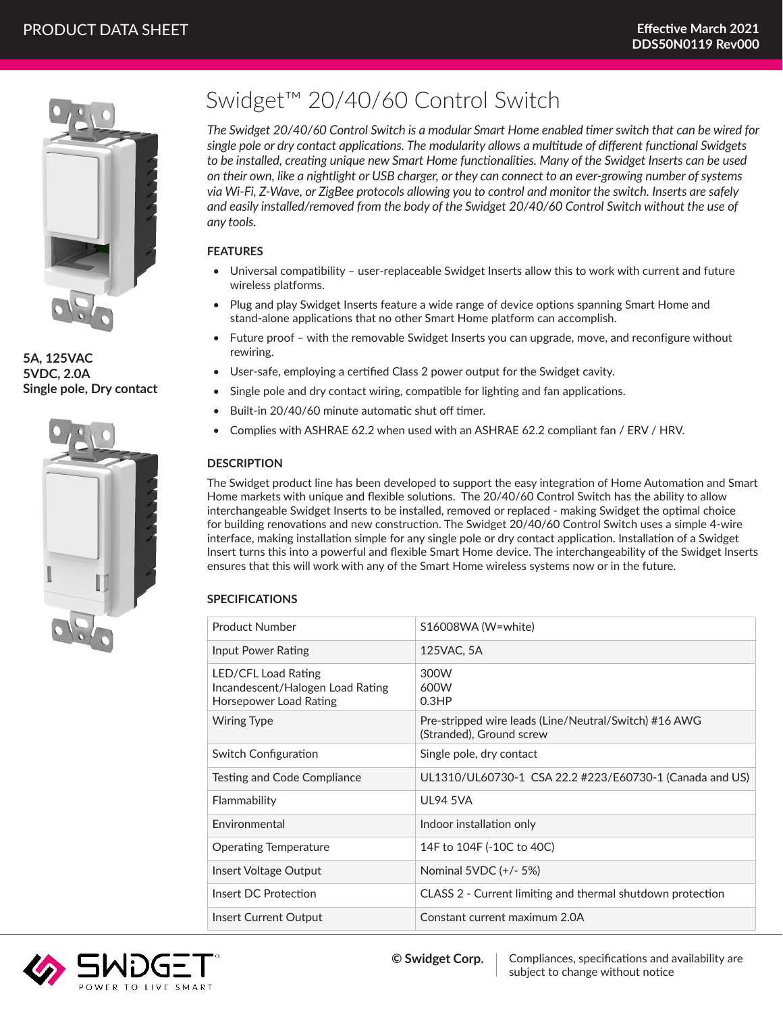

**5A, 125VAC 5VDC, 2.0A Single pole, Dry contact**



# Swidget™ 20/40/60 Control Switch

*The Swidget 20/40/60 Control Switch is a modular Smart Home enabled timer switch that can be wired for single pole or dry contact applications. The modularity allows a multitude of different functional Swidgets to be installed, creating unique new Smart Home functionalities. Many of the Swidget Inserts can be used on their own, like a nightlight or USB charger, or they can connect to an ever-growing number of systems via Wi-Fi, Z-Wave, or ZigBee protocols allowing you to control and monitor the switch. Inserts are safely and easily installed/removed from the body of the Swidget 20/40/60 Control Switch without the use of any tools.*

## **FEATURES**

- Universal compatibility user-replaceable Swidget Inserts allow this to work with current and future wireless platforms.
- Plug and play Swidget Inserts feature a wide range of device options spanning Smart Home and stand-alone applications that no other Smart Home platform can accomplish.
- Future proof with the removable Swidget Inserts you can upgrade, move, and reconfigure without rewiring.
- User-safe, employing a certified Class 2 power output for the Swidget cavity.
- Single pole and dry contact wiring, compatible for lighting and fan applications.
- Built-in 20/40/60 minute automatic shut off timer.
- Complies with ASHRAE 62.2 when used with an ASHRAE 62.2 compliant fan / ERV / HRV.

## **DESCRIPTION**

The Swidget product line has been developed to support the easy integration of Home Automation and Smart Home markets with unique and flexible solutions. The 20/40/60 Control Switch has the ability to allow interchangeable Swidget Inserts to be installed, removed or replaced - making Swidget the optimal choice for building renovations and new construction. The Swidget 20/40/60 Control Switch uses a simple 4-wire interface, making installation simple for any single pole or dry contact application. Installation of a Swidget Insert turns this into a powerful and flexible Smart Home device. The interchangeability of the Swidget Inserts ensures that this will work with any of the Smart Home wireless systems now or in the future.

# **SPECIFICATIONS**

| <b>Product Number</b>                                                             | S16008WA (W=white)                                                                |
|-----------------------------------------------------------------------------------|-----------------------------------------------------------------------------------|
| Input Power Rating                                                                | 125VAC, 5A                                                                        |
| LED/CFL Load Rating<br>Incandescent/Halogen Load Rating<br>Horsepower Load Rating | 300W<br>600W<br>0.3HP                                                             |
| <b>Wiring Type</b>                                                                | Pre-stripped wire leads (Line/Neutral/Switch) #16 AWG<br>(Stranded), Ground screw |
| Switch Configuration                                                              | Single pole, dry contact                                                          |
| Testing and Code Compliance                                                       | UL1310/UL60730-1 CSA 22.2 #223/E60730-1 (Canada and US)                           |
| Flammability                                                                      | <b>UL94 5VA</b>                                                                   |
| Environmental                                                                     | Indoor installation only                                                          |
| <b>Operating Temperature</b>                                                      | 14F to 104F (-10C to 40C)                                                         |
| Insert Voltage Output                                                             | Nominal 5VDC (+/- 5%)                                                             |
| Insert DC Protection                                                              | CLASS 2 - Current limiting and thermal shutdown protection                        |
| Insert Current Output                                                             | Constant current maximum 2.0A                                                     |